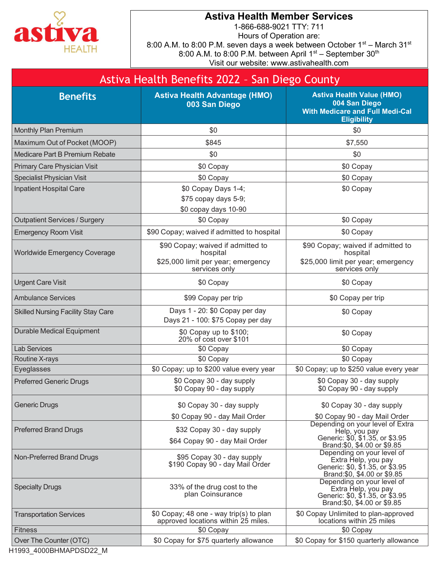

## Astiva Health Member Services

1-866-688-9021 TTY: 711 Hours of Operation are: 8:00 A.M. to 8:00 P.M. seven days a week between October 1st – March 31st 8:00 A.M. to 8:00 P.M. between April  $1<sup>st</sup>$  – September  $30<sup>th</sup>$ Visit our website: www.astivahealth.com

|                                           | Astiva Health Benefits 2022 - San Diego County                                                |                                                                                                                                                      |
|-------------------------------------------|-----------------------------------------------------------------------------------------------|------------------------------------------------------------------------------------------------------------------------------------------------------|
| <b>Benefits</b>                           | <b>Astiva Health Advantage (HMO)</b><br>003 San Diego                                         | <b>Astiva Health Value (HMO)</b><br>004 San Diego<br><b>With Medicare and Full Medi-Cal</b><br><b>Eligibility</b>                                    |
| <b>Monthly Plan Premium</b>               | \$0                                                                                           | \$0                                                                                                                                                  |
| Maximum Out of Pocket (MOOP)              | \$845                                                                                         | \$7,550                                                                                                                                              |
| Medicare Part B Premium Rebate            | \$0                                                                                           | \$0                                                                                                                                                  |
| Primary Care Physician Visit              | \$0 Copay                                                                                     | \$0 Copay                                                                                                                                            |
| Specialist Physician Visit                | \$0 Copay                                                                                     | \$0 Copay                                                                                                                                            |
| Inpatient Hospital Care                   | \$0 Copay Days 1-4;<br>\$75 copay days 5-9;<br>\$0 copay days 10-90                           | \$0 Copay                                                                                                                                            |
| <b>Outpatient Services / Surgery</b>      | \$0 Copay                                                                                     | \$0 Copay                                                                                                                                            |
| <b>Emergency Room Visit</b>               | \$90 Copay; waived if admitted to hospital                                                    | \$0 Copay                                                                                                                                            |
| <b>Worldwide Emergency Coverage</b>       | \$90 Copay; waived if admitted to<br>hospital<br>\$25,000 limit per year; emergency           | \$90 Copay; waived if admitted to<br>hospital<br>\$25,000 limit per year; emergency                                                                  |
|                                           | services only                                                                                 | services only                                                                                                                                        |
| <b>Urgent Care Visit</b>                  | \$0 Copay                                                                                     | \$0 Copay                                                                                                                                            |
| <b>Ambulance Services</b>                 | \$99 Copay per trip                                                                           | \$0 Copay per trip                                                                                                                                   |
| <b>Skilled Nursing Facility Stay Care</b> | Days 1 - 20: \$0 Copay per day<br>Days 21 - 100: \$75 Copay per day                           | \$0 Copay                                                                                                                                            |
| <b>Durable Medical Equipment</b>          | \$0 Copay up to \$100;<br>20% of cost over \$101                                              | \$0 Copay                                                                                                                                            |
| <b>Lab Services</b>                       | \$0 Copay                                                                                     | \$0 Copay                                                                                                                                            |
| Routine X-rays                            | \$0 Copay                                                                                     | \$0 Copay                                                                                                                                            |
| Eyeglasses                                | \$0 Copay; up to \$200 value every year                                                       | \$0 Copay; up to \$250 value every year                                                                                                              |
| <b>Preferred Generic Drugs</b>            | \$0 Copay 30 - day supply<br>\$0 Copay 90 - day supply                                        | \$0 Copay 30 - day supply<br>\$0 Copay 90 - day supply                                                                                               |
| <b>Generic Drugs</b>                      | \$0 Copay 30 - day supply                                                                     | \$0 Copay 30 - day supply                                                                                                                            |
| <b>Preferred Brand Drugs</b>              | \$0 Copay 90 - day Mail Order<br>\$32 Copay 30 - day supply<br>\$64 Copay 90 - day Mail Order | \$0 Copay 90 - day Mail Order<br>Depending on your level of Extra<br>Help, you pay<br>Generic: \$0, \$1.35, or \$3.95<br>Brand:\$0, \$4.00 or \$9.85 |
| Non-Preferred Brand Drugs                 | \$95 Copay 30 - day supply<br>\$190 Copay 90 - day Mail Order                                 | Depending on your level of<br>Extra Help, you pay<br>Generic: \$0, \$1.35, or \$3.95<br>Brand: \$0, \$4.00 or \$9.85                                 |
| <b>Specialty Drugs</b>                    | 33% of the drug cost to the<br>plan Coinsurance                                               | Depending on your level of<br>Extra Help, you pay<br>Generic: \$0, \$1.35, or \$3.95<br>Brand: \$0, \$4.00 or \$9.85                                 |
| <b>Transportation Services</b>            | \$0 Copay; 48 one - way trip(s) to plan<br>approved locations within 25 miles.                | \$0 Copay Unlimited to plan-approved<br>locations within 25 miles                                                                                    |
| <b>Fitness</b>                            | \$0 Copay                                                                                     | \$0 Copay                                                                                                                                            |
| Over The Counter (OTC)                    | \$0 Copay for \$75 quarterly allowance                                                        | \$0 Copay for \$150 quarterly allowance                                                                                                              |

H1993\_4000BHMAPDSD22\_M